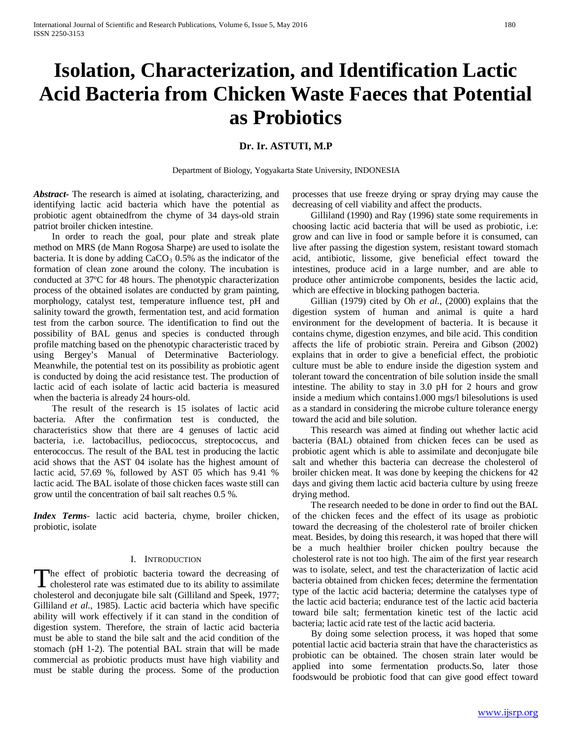# **Isolation, Characterization, and Identification Lactic Acid Bacteria from Chicken Waste Faeces that Potential as Probiotics**

# **Dr. Ir. ASTUTI, M.P**

Department of Biology, Yogyakarta State University, INDONESIA

*Abstract***-** The research is aimed at isolating, characterizing, and identifying lactic acid bacteria which have the potential as probiotic agent obtainedfrom the chyme of 34 days-old strain patriot broiler chicken intestine.

 In order to reach the goal, pour plate and streak plate method on MRS (de Mann Rogosa Sharpe) are used to isolate the bacteria. It is done by adding  $CaCO<sub>3</sub> 0.5%$  as the indicator of the formation of clean zone around the colony. The incubation is conducted at 37ºC for 48 hours. The phenotypic characterization process of the obtained isolates are conducted by gram painting, morphology, catalyst test, temperature influence test, pH and salinity toward the growth, fermentation test, and acid formation test from the carbon source. The identification to find out the possibility of BAL genus and species is conducted through profile matching based on the phenotypic characteristic traced by using Bergey's Manual of Determinative Bacteriology. Meanwhile, the potential test on its possibility as probiotic agent is conducted by doing the acid resistance test. The production of lactic acid of each isolate of lactic acid bacteria is measured when the bacteria is already 24 hours-old.

 The result of the research is 15 isolates of lactic acid bacteria. After the confirmation test is conducted, the characteristics show that there are 4 genuses of lactic acid bacteria, i.e. lactobacillus, pediococcus, streptococcus, and enterococcus. The result of the BAL test in producing the lactic acid shows that the AST 04 isolate has the highest amount of lactic acid, 57.69 %, followed by AST 05 which has 9.41 % lactic acid. The BAL isolate of those chicken faces waste still can grow until the concentration of bail salt reaches 0.5 %.

*Index Terms*- lactic acid bacteria, chyme, broiler chicken, probiotic, isolate

#### I. INTRODUCTION

The effect of probiotic bacteria toward the decreasing of The effect of probiotic bacteria toward the decreasing of cholesterol rate was estimated due to its ability to assimilate cholesterol and deconjugate bile salt (Gilliland and Speek, 1977; Gilliland *et al*., 1985). Lactic acid bacteria which have specific ability will work effectively if it can stand in the condition of digestion system. Therefore, the strain of lactic acid bacteria must be able to stand the bile salt and the acid condition of the stomach (pH 1-2). The potential BAL strain that will be made commercial as probiotic products must have high viability and must be stable during the process. Some of the production

processes that use freeze drying or spray drying may cause the decreasing of cell viability and affect the products.

 Gilliland (1990) and Ray (1996) state some requirements in choosing lactic acid bacteria that will be used as probiotic, i.e: grow and can live in food or sample before it is consumed, can live after passing the digestion system, resistant toward stomach acid, antibiotic, lissome, give beneficial effect toward the intestines, produce acid in a large number, and are able to produce other antimicrobe components, besides the lactic acid, which are effective in blocking pathogen bacteria.

 Gillian (1979) cited by Oh *et al*., (2000) explains that the digestion system of human and animal is quite a hard environment for the development of bacteria. It is because it contains chyme, digestion enzymes, and bile acid. This condition affects the life of probiotic strain. Pereira and Gibson (2002) explains that in order to give a beneficial effect, the probiotic culture must be able to endure inside the digestion system and tolerant toward the concentration of bile solution inside the small intestine. The ability to stay in 3.0 pH for 2 hours and grow inside a medium which contains1.000 mgs/l bilesolutions is used as a standard in considering the microbe culture tolerance energy toward the acid and bile solution.

 This research was aimed at finding out whether lactic acid bacteria (BAL) obtained from chicken feces can be used as probiotic agent which is able to assimilate and deconjugate bile salt and whether this bacteria can decrease the cholesterol of broiler chicken meat. It was done by keeping the chickens for 42 days and giving them lactic acid bacteria culture by using freeze drying method.

 The research needed to be done in order to find out the BAL of the chicken feces and the effect of its usage as probiotic toward the decreasing of the cholesterol rate of broiler chicken meat. Besides, by doing this research, it was hoped that there will be a much healthier broiler chicken poultry because the cholesterol rate is not too high. The aim of the first year research was to isolate, select, and test the characterization of lactic acid bacteria obtained from chicken feces; determine the fermentation type of the lactic acid bacteria; determine the catalyses type of the lactic acid bacteria; endurance test of the lactic acid bacteria toward bile salt; fermentation kinetic test of the lactic acid bacteria; lactic acid rate test of the lactic acid bacteria.

 By doing some selection process, it was hoped that some potential lactic acid bacteria strain that have the characteristics as probiotic can be obtained. The chosen strain later would be applied into some fermentation products.So, later those foodswould be probiotic food that can give good effect toward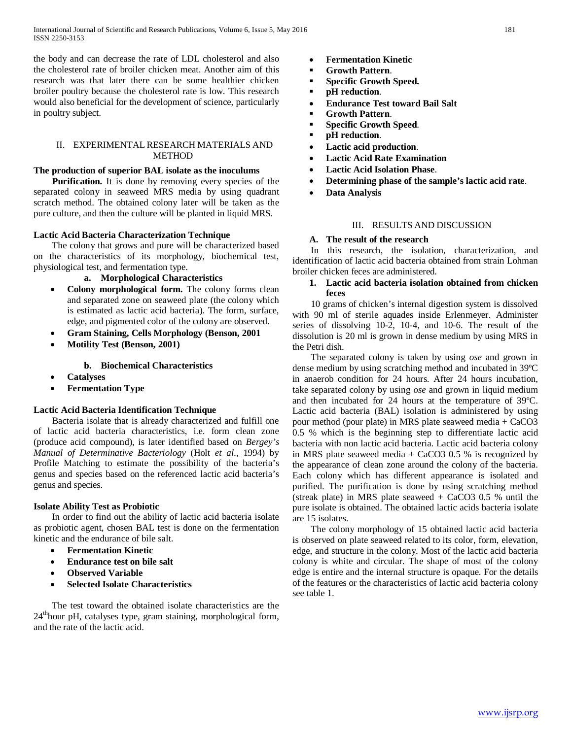the body and can decrease the rate of LDL cholesterol and also the cholesterol rate of broiler chicken meat. Another aim of this research was that later there can be some healthier chicken broiler poultry because the cholesterol rate is low. This research would also beneficial for the development of science, particularly in poultry subject.

# II. EXPERIMENTAL RESEARCH MATERIALS AND METHOD

# **The production of superior BAL isolate as the inoculums**

 **Purification.** It is done by removing every species of the separated colony in seaweed MRS media by using quadrant scratch method. The obtained colony later will be taken as the pure culture, and then the culture will be planted in liquid MRS.

# **Lactic Acid Bacteria Characterization Technique**

 The colony that grows and pure will be characterized based on the characteristics of its morphology, biochemical test, physiological test, and fermentation type.

## **a. Morphological Characteristics**

- **Colony morphological form.** The colony forms clean and separated zone on seaweed plate (the colony which is estimated as lactic acid bacteria). The form, surface, edge, and pigmented color of the colony are observed.
- **Gram Staining, Cells Morphology (Benson, 2001**
- **Motility Test (Benson, 2001)**

#### **b. Biochemical Characteristics**

- **Catalyses**
- **Fermentation Type**

## **Lactic Acid Bacteria Identification Technique**

 Bacteria isolate that is already characterized and fulfill one of lactic acid bacteria characteristics, i.e. form clean zone (produce acid compound), is later identified based on *Bergey's Manual of Determinative Bacteriology* (Holt *et al*., 1994) by Profile Matching to estimate the possibility of the bacteria's genus and species based on the referenced lactic acid bacteria's genus and species.

#### **Isolate Ability Test as Probiotic**

 In order to find out the ability of lactic acid bacteria isolate as probiotic agent, chosen BAL test is done on the fermentation kinetic and the endurance of bile salt.

- **Fermentation Kinetic**
- **Endurance test on bile salt**
- **Observed Variable**
- **Selected Isolate Characteristics**

 The test toward the obtained isolate characteristics are the 24<sup>th</sup>hour pH, catalyses type, gram staining, morphological form, and the rate of the lactic acid.

- **Fermentation Kinetic**
- **Growth Pattern**.
- **Specific Growth Speed.**
- **pH reduction**.
- **Endurance Test toward Bail Salt**
- **Growth Pattern**.
- **Specific Growth Speed**.
- **pH reduction**.
- **Lactic acid production**.
- **Lactic Acid Rate Examination**
- **Lactic Acid Isolation Phase**.
- **Determining phase of the sample's lactic acid rate**.
- **Data Analysis**

# III. RESULTS AND DISCUSSION

#### **A. The result of the research**

 In this research, the isolation, characterization, and identification of lactic acid bacteria obtained from strain Lohman broiler chicken feces are administered.

# **1. Lactic acid bacteria isolation obtained from chicken feces**

 10 grams of chicken's internal digestion system is dissolved with 90 ml of sterile aquades inside Erlenmeyer. Administer series of dissolving 10-2, 10-4, and 10-6. The result of the dissolution is 20 ml is grown in dense medium by using MRS in the Petri dish.

 The separated colony is taken by using *ose* and grown in dense medium by using scratching method and incubated in 39ºC in anaerob condition for 24 hours. After 24 hours incubation, take separated colony by using *ose* and grown in liquid medium and then incubated for 24 hours at the temperature of 39ºC. Lactic acid bacteria (BAL) isolation is administered by using pour method (pour plate) in MRS plate seaweed media + CaCO3 0.5 % which is the beginning step to differentiate lactic acid bacteria with non lactic acid bacteria. Lactic acid bacteria colony in MRS plate seaweed media  $+$  CaCO3 0.5 % is recognized by the appearance of clean zone around the colony of the bacteria. Each colony which has different appearance is isolated and purified. The purification is done by using scratching method (streak plate) in MRS plate seaweed  $+$  CaCO3 0.5 % until the pure isolate is obtained. The obtained lactic acids bacteria isolate are 15 isolates.

 The colony morphology of 15 obtained lactic acid bacteria is observed on plate seaweed related to its color, form, elevation, edge, and structure in the colony. Most of the lactic acid bacteria colony is white and circular. The shape of most of the colony edge is entire and the internal structure is opaque. For the details of the features or the characteristics of lactic acid bacteria colony see table 1.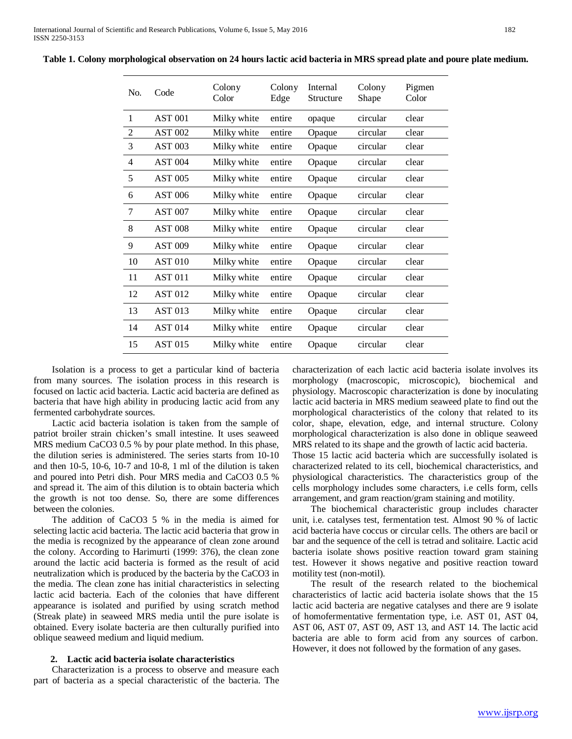| No.            | Code           | Colony<br>Color | Colony<br>Edge | Internal<br>Structure | Colony<br>Shape | Pigmen<br>Color |
|----------------|----------------|-----------------|----------------|-----------------------|-----------------|-----------------|
| $\mathbf{1}$   | <b>AST 001</b> | Milky white     | entire         | opaque                | circular        | clear           |
| $\overline{2}$ | <b>AST 002</b> | Milky white     | entire         | Opaque                | circular        | clear           |
| 3              | <b>AST 003</b> | Milky white     | entire         | Opaque                | circular        | clear           |
| $\overline{4}$ | <b>AST 004</b> | Milky white     | entire         | Opaque                | circular        | clear           |
| 5              | <b>AST 005</b> | Milky white     | entire         | Opaque                | circular        | clear           |
| 6              | <b>AST 006</b> | Milky white     | entire         | Opaque                | circular        | clear           |
| 7              | <b>AST 007</b> | Milky white     | entire         | Opaque                | circular        | clear           |
| 8              | <b>AST 008</b> | Milky white     | entire         | Opaque                | circular        | clear           |
| 9              | <b>AST 009</b> | Milky white     | entire         | Opaque                | circular        | clear           |
| 10             | <b>AST 010</b> | Milky white     | entire         | Opaque                | circular        | clear           |
| 11             | <b>AST 011</b> | Milky white     | entire         | Opaque                | circular        | clear           |
| 12             | <b>AST 012</b> | Milky white     | entire         | Opaque                | circular        | clear           |
| 13             | <b>AST 013</b> | Milky white     | entire         | Opaque                | circular        | clear           |
| 14             | <b>AST 014</b> | Milky white     | entire         | Opaque                | circular        | clear           |
| 15             | <b>AST 015</b> | Milky white     | entire         | Opaque                | circular        | clear           |

**Table 1. Colony morphological observation on 24 hours lactic acid bacteria in MRS spread plate and poure plate medium.**

 Isolation is a process to get a particular kind of bacteria from many sources. The isolation process in this research is focused on lactic acid bacteria. Lactic acid bacteria are defined as bacteria that have high ability in producing lactic acid from any fermented carbohydrate sources.

 Lactic acid bacteria isolation is taken from the sample of patriot broiler strain chicken's small intestine. It uses seaweed MRS medium CaCO3 0.5 % by pour plate method. In this phase, the dilution series is administered. The series starts from 10-10 and then 10-5, 10-6, 10-7 and 10-8, 1 ml of the dilution is taken and poured into Petri dish. Pour MRS media and CaCO3 0.5 % and spread it. The aim of this dilution is to obtain bacteria which the growth is not too dense. So, there are some differences between the colonies.

 The addition of CaCO3 5 % in the media is aimed for selecting lactic acid bacteria. The lactic acid bacteria that grow in the media is recognized by the appearance of clean zone around the colony. According to Harimurti (1999: 376), the clean zone around the lactic acid bacteria is formed as the result of acid neutralization which is produced by the bacteria by the CaCO3 in the media. The clean zone has initial characteristics in selecting lactic acid bacteria. Each of the colonies that have different appearance is isolated and purified by using scratch method (Streak plate) in seaweed MRS media until the pure isolate is obtained. Every isolate bacteria are then culturally purified into oblique seaweed medium and liquid medium.

#### **2. Lactic acid bacteria isolate characteristics**

 Characterization is a process to observe and measure each part of bacteria as a special characteristic of the bacteria. The characterization of each lactic acid bacteria isolate involves its morphology (macroscopic, microscopic), biochemical and physiology. Macroscopic characterization is done by inoculating lactic acid bacteria in MRS medium seaweed plate to find out the morphological characteristics of the colony that related to its color, shape, elevation, edge, and internal structure. Colony morphological characterization is also done in oblique seaweed MRS related to its shape and the growth of lactic acid bacteria. Those 15 lactic acid bacteria which are successfully isolated is characterized related to its cell, biochemical characteristics, and

physiological characteristics. The characteristics group of the cells morphology includes some characters, i.e cells form, cells arrangement, and gram reaction/gram staining and motility.

 The biochemical characteristic group includes character unit, i.e. catalyses test, fermentation test. Almost 90 % of lactic acid bacteria have coccus or circular cells. The others are bacil or bar and the sequence of the cell is tetrad and solitaire. Lactic acid bacteria isolate shows positive reaction toward gram staining test. However it shows negative and positive reaction toward motility test (non-motil).

 The result of the research related to the biochemical characteristics of lactic acid bacteria isolate shows that the 15 lactic acid bacteria are negative catalyses and there are 9 isolate of homofermentative fermentation type, i.e. AST 01, AST 04, AST 06, AST 07, AST 09, AST 13, and AST 14. The lactic acid bacteria are able to form acid from any sources of carbon. However, it does not followed by the formation of any gases.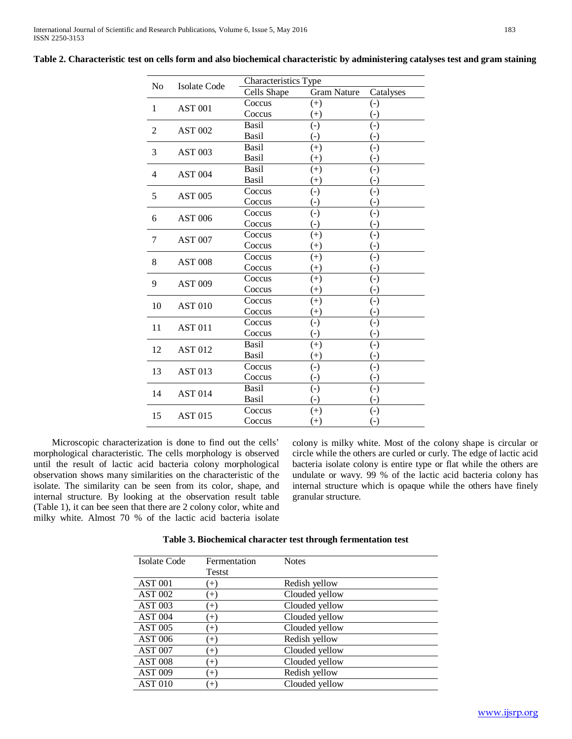| N <sub>o</sub> | Isolate Code   | Characteristics Type |                        |                                   |
|----------------|----------------|----------------------|------------------------|-----------------------------------|
|                |                | Cells Shape          | <b>Gram Nature</b>     | Catalyses                         |
| 1              | <b>AST 001</b> | Coccus               | $^{(+)}$               | $\left( -\right)$                 |
|                |                | Coccus               | $(+)$                  | $\left( -\right)$                 |
| 2              | <b>AST 002</b> | Basil                | $\left( -\right)$      | $\left( -\right)$                 |
|                |                | Basil                | $\left( -\right)$      | $(\cdot)$                         |
| 3              | <b>AST 003</b> | Basil                | $(+)$                  | $\left( -\right)$                 |
|                |                | Basil                | $^{(+)}$               | $(\text{-})$                      |
| 4              | <b>AST 004</b> | Basil                | $^{(+)}$               | $\left( -\right)$                 |
|                |                | Basil                | $(+)$                  | $\left( -\right)$                 |
| 5              | <b>AST 005</b> | Coccus               | $\left( -\right)$      | $\left( -\right)$                 |
|                |                | Coccus               | $\left( \cdot \right)$ | $(\textnormal{-})$                |
| 6              | <b>AST 006</b> | Coccus               | $\left( -\right)$      | $\left( -\right)$                 |
|                |                | Coccus               | $\left( -\right)$      | $\left( -\right)$                 |
| 7              | <b>AST 007</b> | Coccus               | $(+)$                  | $(\cdot)$                         |
|                |                | Coccus               | $^{(+)}$               | $(\text{-})$                      |
| 8              | <b>AST 008</b> | Coccus               | $(+)$                  | $\left( -\right)$                 |
|                |                | Coccus               | $^{(+)}$               | $\left( \overline{\cdot }\right)$ |
| 9              | <b>AST 009</b> | Coccus               | $^{(+)}$               | $\left( -\right)$                 |
|                |                | Coccus               | $^{(+)}$               | $(\textnormal{-})$                |
| 10             | <b>AST 010</b> | Coccus               | $(+)$                  | $(-)$                             |
|                |                | Coccus               | $^{(+)}$               | $(\cdot)$                         |
| 11             | <b>AST 011</b> | Coccus               | $\left( -\right)$      | $\left( -\right)$                 |
|                |                | Coccus               | $\left( -\right)$      | $(\text{-})$                      |
| 12             | <b>AST 012</b> | Basil                | $^{(+)}$               | $\left( -\right)$                 |
|                |                | Basil                | $^{(+)}$               | $\left( -\right)$                 |
| 13             | <b>AST 013</b> | Coccus               | $\left( -\right)$      | $\left( -\right)$                 |
|                |                | Coccus               | $(-)$                  | $(-)$                             |
| 14             | <b>AST 014</b> | Basil                | $\left( -\right)$      | $\left( -\right)$                 |
|                |                | Basil                | $(-)$                  | $(-)$                             |
|                | <b>AST 015</b> | Coccus               | $(+)$                  | $\left( -\right)$                 |
| 15             |                | Coccus               | $^{(+)}$               | $(\cdot)$                         |

**Table 2. Characteristic test on cells form and also biochemical characteristic by administering catalyses test and gram staining**

 Microscopic characterization is done to find out the cells' morphological characteristic. The cells morphology is observed until the result of lactic acid bacteria colony morphological observation shows many similarities on the characteristic of the isolate. The similarity can be seen from its color, shape, and internal structure. By looking at the observation result table (Table 1), it can bee seen that there are 2 colony color, white and milky white. Almost 70 % of the lactic acid bacteria isolate colony is milky white. Most of the colony shape is circular or circle while the others are curled or curly. The edge of lactic acid bacteria isolate colony is entire type or flat while the others are undulate or wavy. 99 % of the lactic acid bacteria colony has internal structure which is opaque while the others have finely granular structure.

**Table 3. Biochemical character test through fermentation test**

| <b>Isolate Code</b> | Fermentation | <b>Notes</b>   |
|---------------------|--------------|----------------|
|                     | Testst       |                |
| <b>AST 001</b>      | $(+)$        | Redish yellow  |
| <b>AST 002</b>      | $^{(+)}$     | Clouded yellow |
| <b>AST 003</b>      | $^{(+)}$     | Clouded yellow |
| <b>AST 004</b>      | $^{(+)}$     | Clouded yellow |
| <b>AST 005</b>      | $^{(+)}$     | Clouded yellow |
| <b>AST 006</b>      | $^{(+)}$     | Redish yellow  |
| <b>AST 007</b>      | $^{(+)}$     | Clouded yellow |
| <b>AST 008</b>      | $^{(+)}$     | Clouded yellow |
| <b>AST 009</b>      | $(+)$        | Redish yellow  |
| <b>AST 010</b>      | $^{(+)}$     | Clouded yellow |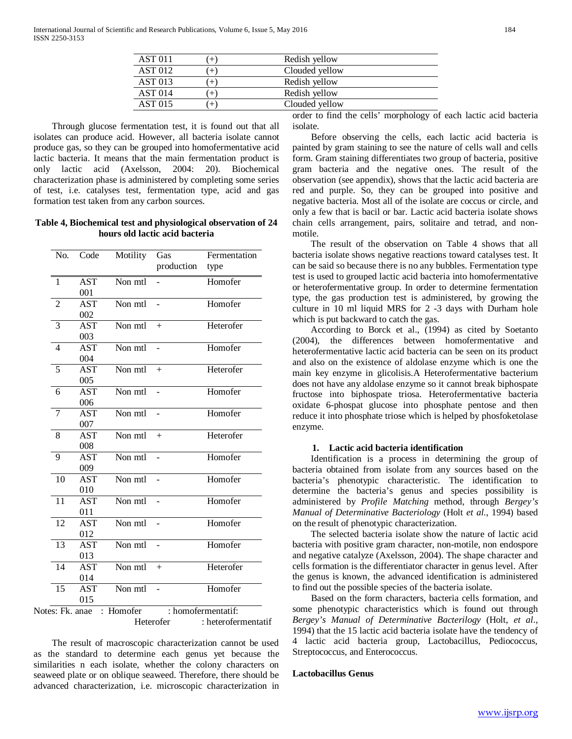| <b>AST 011</b> | $^{+}$ | Redish yellow           |
|----------------|--------|-------------------------|
| <b>AST 012</b> | $^{+}$ | Clouded yellow          |
| <b>AST 013</b> | $^{+}$ | Redish yellow           |
| <b>AST 014</b> | $^{+}$ | Redish yellow           |
| AST 015        | $^{+}$ | Clouded yellow          |
|                |        | . .<br>$\sim$<br>.<br>. |

 Through glucose fermentation test, it is found out that all isolates can produce acid. However, all bacteria isolate cannot produce gas, so they can be grouped into homofermentative acid lactic bacteria. It means that the main fermentation product is only lactic acid (Axelsson, 2004: 20). Biochemical characterization phase is administered by completing some series of test, i.e. catalyses test, fermentation type, acid and gas formation test taken from any carbon sources.

**Table 4, Biochemical test and physiological observation of 24 hours old lactic acid bacteria**

| No.             | Code       | Motility  | Gas            | Fermentation        |
|-----------------|------------|-----------|----------------|---------------------|
|                 |            |           | production     | type                |
| 1               | <b>AST</b> | Non mtl   |                | Homofer             |
|                 | 001        |           |                |                     |
| $\overline{2}$  | <b>AST</b> | Non mtl   |                | Homofer             |
|                 | 002        |           |                |                     |
| 3               | AST        | Non mtl   | $^{+}$         | Heterofer           |
|                 | 003        |           |                |                     |
| $\overline{4}$  | <b>AST</b> | Non mtl   | $\overline{a}$ | Homofer             |
|                 | 004        |           |                |                     |
| $\overline{5}$  | <b>AST</b> | Non mtl   | $+$            | Heterofer           |
|                 | 005        |           |                |                     |
| 6               | <b>AST</b> | Non mtl   |                | Homofer             |
|                 | 006        |           |                |                     |
| 7               | <b>AST</b> | Non mtl   |                | Homofer             |
|                 | 007        |           |                |                     |
| 8               | AST        | Non mtl   | $+$            | Heterofer           |
|                 | 008        |           |                |                     |
| 9               | <b>AST</b> | Non mtl   |                | Homofer             |
|                 | 009        |           |                |                     |
| 10              | <b>AST</b> | Non mtl   |                | Homofer             |
|                 | 010        |           |                |                     |
| $\overline{11}$ | <b>AST</b> | Non mtl   |                | Homofer             |
|                 | 011        |           |                |                     |
| $\overline{12}$ | <b>AST</b> | Non mtl   |                | Homofer             |
|                 | 012        |           |                |                     |
| 13              | <b>AST</b> | Non mtl   |                | Homofer             |
|                 | 013        |           |                |                     |
| 14              | AST        | Non mtl   | $+$            | Heterofer           |
|                 | 014        |           |                |                     |
| 15              | <b>AST</b> | Non mtl   | ÷,             | Homofer             |
|                 | 015        |           |                |                     |
| Notes: Fk. anae |            | : Homofer |                | : homofermentatif:  |
|                 |            |           | Heterofer      | : heterofermentatif |

 The result of macroscopic characterization cannot be used as the standard to determine each genus yet because the similarities n each isolate, whether the colony characters on seaweed plate or on oblique seaweed. Therefore, there should be advanced characterization, i.e. microscopic characterization in

order to find the cells' morphology of each lactic acid bacteria isolate.

 Before observing the cells, each lactic acid bacteria is painted by gram staining to see the nature of cells wall and cells form. Gram staining differentiates two group of bacteria, positive gram bacteria and the negative ones. The result of the observation (see appendix), shows that the lactic acid bacteria are red and purple. So, they can be grouped into positive and negative bacteria. Most all of the isolate are coccus or circle, and only a few that is bacil or bar. Lactic acid bacteria isolate shows chain cells arrangement, pairs, solitaire and tetrad, and nonmotile.

 The result of the observation on Table 4 shows that all bacteria isolate shows negative reactions toward catalyses test. It can be said so because there is no any bubbles. Fermentation type test is used to grouped lactic acid bacteria into homofermentative or heterofermentative group. In order to determine fermentation type, the gas production test is administered, by growing the culture in 10 ml liquid MRS for 2 -3 days with Durham hole which is put backward to catch the gas.

 According to Borck et al., (1994) as cited by Soetanto (2004), the differences between homofermentative and heterofermentative lactic acid bacteria can be seen on its product and also on the existence of aldolase enzyme which is one the main key enzyme in glicolisis.A Heterofermentative bacterium does not have any aldolase enzyme so it cannot break biphospate fructose into biphospate triosa. Heterofermentative bacteria oxidate 6-phospat glucose into phosphate pentose and then reduce it into phosphate triose which is helped by phosfoketolase enzyme.

#### **1. Lactic acid bacteria identification**

 Identification is a process in determining the group of bacteria obtained from isolate from any sources based on the bacteria's phenotypic characteristic. The identification to determine the bacteria's genus and species possibility is administered by *Profile Matching* method, through *Bergey's Manual of Determinative Bacteriology* (Holt *et al*., 1994) based on the result of phenotypic characterization.

 The selected bacteria isolate show the nature of lactic acid bacteria with positive gram character, non-motile, non endospore and negative catalyze (Axelsson, 2004). The shape character and cells formation is the differentiator character in genus level. After the genus is known, the advanced identification is administered to find out the possible species of the bacteria isolate.

 Based on the form characters, bacteria cells formation, and some phenotypic characteristics which is found out through *Bergey's Manual of Determinative Bacterilogy* (Holt, *et al*., 1994) that the 15 lactic acid bacteria isolate have the tendency of 4 lactic acid bacteria group, Lactobacillus, Pediococcus, Streptococcus, and Enterococcus.

#### **Lactobacillus Genus**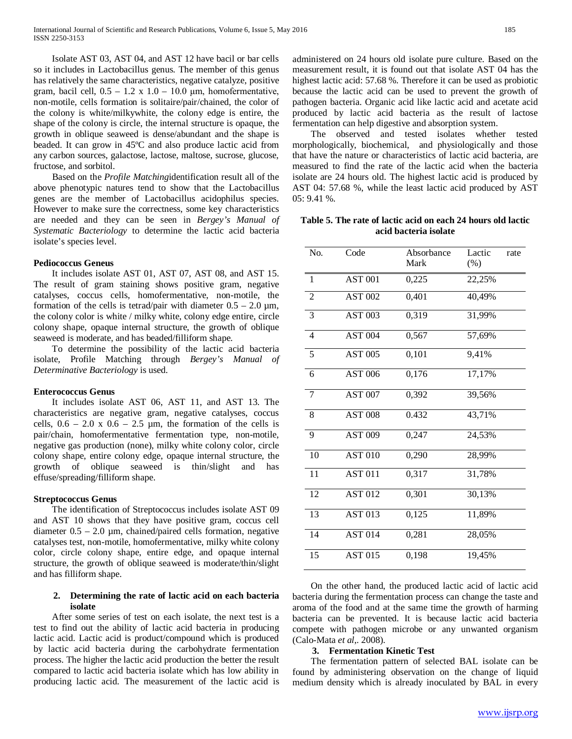Isolate AST 03, AST 04, and AST 12 have bacil or bar cells so it includes in Lactobacillus genus. The member of this genus has relatively the same characteristics, negative catalyze, positive gram, bacil cell,  $0.5 - 1.2 \times 1.0 - 10.0 \mu m$ , homofermentative, non-motile, cells formation is solitaire/pair/chained, the color of the colony is white/milkywhite, the colony edge is entire, the shape of the colony is circle, the internal structure is opaque, the growth in oblique seaweed is dense/abundant and the shape is beaded. It can grow in 45ºC and also produce lactic acid from any carbon sources, galactose, lactose, maltose, sucrose, glucose, fructose, and sorbitol.

 Based on the *Profile Matching*identification result all of the above phenotypic natures tend to show that the Lactobacillus genes are the member of Lactobacillus acidophilus species. However to make sure the correctness, some key characteristics are needed and they can be seen in *Bergey's Manual of Systematic Bacteriology* to determine the lactic acid bacteria isolate's species level.

#### **Pediococcus Geneus**

 It includes isolate AST 01, AST 07, AST 08, and AST 15. The result of gram staining shows positive gram, negative catalyses, coccus cells, homofermentative, non-motile, the formation of the cells is tetrad/pair with diameter  $0.5 - 2.0 \mu m$ , the colony color is white / milky white, colony edge entire, circle colony shape, opaque internal structure, the growth of oblique seaweed is moderate, and has beaded/filliform shape.

 To determine the possibility of the lactic acid bacteria isolate, Profile Matching through *Bergey's Manual of Determinative Bacteriology* is used.

#### **Enterococcus Genus**

 It includes isolate AST 06, AST 11, and AST 13. The characteristics are negative gram, negative catalyses, coccus cells,  $0.6 - 2.0 \times 0.6 - 2.5 \mu m$ , the formation of the cells is pair/chain, homofermentative fermentation type, non-motile, negative gas production (none), milky white colony color, circle colony shape, entire colony edge, opaque internal structure, the growth of oblique seaweed is thin/slight and has effuse/spreading/filliform shape.

#### **Streptococcus Genus**

 The identification of Streptococcus includes isolate AST 09 and AST 10 shows that they have positive gram, coccus cell diameter  $0.5 - 2.0 \mu m$ , chained/paired cells formation, negative catalyses test, non-motile, homofermentative, milky white colony color, circle colony shape, entire edge, and opaque internal structure, the growth of oblique seaweed is moderate/thin/slight and has filliform shape.

## **2. Determining the rate of lactic acid on each bacteria isolate**

 After some series of test on each isolate, the next test is a test to find out the ability of lactic acid bacteria in producing lactic acid. Lactic acid is product/compound which is produced by lactic acid bacteria during the carbohydrate fermentation process. The higher the lactic acid production the better the result compared to lactic acid bacteria isolate which has low ability in producing lactic acid. The measurement of the lactic acid is administered on 24 hours old isolate pure culture. Based on the measurement result, it is found out that isolate AST 04 has the highest lactic acid: 57.68 %. Therefore it can be used as probiotic because the lactic acid can be used to prevent the growth of pathogen bacteria. Organic acid like lactic acid and acetate acid produced by lactic acid bacteria as the result of lactose fermentation can help digestive and absorption system.

 The observed and tested isolates whether tested morphologically, biochemical, and physiologically and those that have the nature or characteristics of lactic acid bacteria, are measured to find the rate of the lactic acid when the bacteria isolate are 24 hours old. The highest lactic acid is produced by AST 04: 57.68 %, while the least lactic acid produced by AST 05: 9.41 %.

**Table 5. The rate of lactic acid on each 24 hours old lactic acid bacteria isolate**

| No.             | Code               | Absorbance<br>Mark   | Lactic<br>rate<br>(% ) |
|-----------------|--------------------|----------------------|------------------------|
| $\mathbf{1}$    | <b>AST 001</b>     | 0,225                | 22,25%                 |
| $\overline{2}$  | <b>AST 002</b>     | 0,401                | 40,49%                 |
| 3               | <b>AST 003</b>     | 0,319                | 31,99%                 |
| $\overline{4}$  | AST <sub>004</sub> | 0,567                | 57,69%                 |
| 5               | <b>AST 005</b>     | 0,101                | 9,41%                  |
| 6               | <b>AST 006</b>     | 0,176                | 17,17%                 |
| 7               | <b>AST 007</b>     | 0,392                | 39,56%                 |
| 8               | <b>AST 008</b>     | 0.432                | 43,71%                 |
| 9               | <b>AST 009</b>     | 0,247                | 24,53%                 |
| 10              | <b>AST 010</b>     | 0,290                | 28,99%                 |
| $\overline{11}$ | <b>AST 011</b>     | 0,317                | 31,78%                 |
| 12              | <b>AST 012</b>     | 0,301                | 30,13%                 |
| 13              | <b>AST 013</b>     | $\overline{0}$ , 125 | 11,89%                 |
| 14              | <b>AST 014</b>     | 0,281                | 28,05%                 |
| 15              | <b>AST 015</b>     | 0,198                | 19,45%                 |

 On the other hand, the produced lactic acid of lactic acid bacteria during the fermentation process can change the taste and aroma of the food and at the same time the growth of harming bacteria can be prevented. It is because lactic acid bacteria compete with pathogen microbe or any unwanted organism (Calo-Mata *et al*,. 2008).

## **3. Fermentation Kinetic Test**

 The fermentation pattern of selected BAL isolate can be found by administering observation on the change of liquid medium density which is already inoculated by BAL in every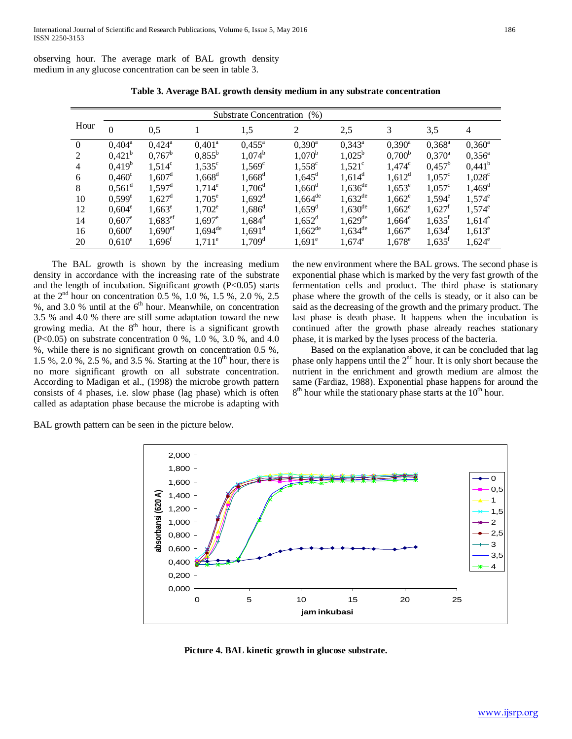observing hour. The average mark of BAL growth density medium in any glucose concentration can be seen in table 3.

|                | Substrate Concentration (%) |                       |                       |                      |                       |                       |                 |                      |                      |  |
|----------------|-----------------------------|-----------------------|-----------------------|----------------------|-----------------------|-----------------------|-----------------|----------------------|----------------------|--|
| Hour           | 0                           | 0,5                   |                       | 1,5                  | 2                     | 2,5                   | 3               | 3,5                  | $\overline{4}$       |  |
| $\theta$       | $0,404^{\rm a}$             | $0,424^{\circ}$       | $0,401^{\circ}$       | $0,455^{\circ}$      | $0,390^{\rm a}$       | $0,343^{\circ}$       | $0,390^a$       | $0,368^{\rm a}$      | $0,360^a$            |  |
| 2              | $0.421^{b}$                 | $0.767^b$             | $0.855^{\rm b}$       | $1,074^b$            | $1,070^{\rm b}$       | $1,025^{\rm b}$       | $0,700^{\rm b}$ | $0.370^{\rm a}$      | $0.356^{\circ}$      |  |
| $\overline{4}$ | $0,419^b$                   | $1,514^c$             | $1,535^{\circ}$       | $1,569^c$            | $1,558^{\circ}$       | $1,521^{\circ}$       | $1,474^c$       | $0,457^{\rm b}$      | $0,441^{\rm b}$      |  |
| 6              | $0,460^{\circ}$             | $1,607^{\rm d}$       | $1,668^{\rm d}$       | $1,668^d$            | $1,645^{\rm d}$       | $1,614^d$             | $1,612^d$       | $1,057^{\circ}$      | $1,028^{\circ}$      |  |
| 8              | $0,561^{\circ}$             | $1,597^{\rm d}$       | $1,714^e$             | $1,706^{\rm d}$      | $1,660^{\rm d}$       | $1,636^{de}$          | $1,653^e$       | $1,057^{\circ}$      | $1,469$ <sup>d</sup> |  |
| 10             | $0,599^e$                   | $1,627^{\rm d}$       | $1,705^e$             | $1,692^{\rm d}$      | $1,664$ <sup>de</sup> | $1,632^{de}$          | $1,662^e$       | $1,594^e$            | $1,574^e$            |  |
| 12             | $0,604^e$                   | $1,663^e$             | $1,702^e$             | $1,686^{\rm d}$      | $1,659^{\rm d}$       | $1,630^{\text{de}}$   | $1,662^e$       | $1,627^t$            | $1,574^e$            |  |
| 14             | $0.607^e$                   | $1,683^{\rm ef}$      | $1,697^e$             | $1,684^d$            | $1,652^d$             | $1,629$ <sup>de</sup> | $1,664^e$       | $1,635$ <sup>f</sup> | $1,614^e$            |  |
| 16             | $0,600^e$                   | $1,690$ <sup>ef</sup> | $1,694$ <sup>de</sup> | $1,691$ <sup>d</sup> | $1,662^{de}$          | $1,634^{de}$          | $1,667^e$       | $1,634^t$            | $1,613^e$            |  |
| 20             | $0,610^e$                   | $1,696$ <sup>f</sup>  | $1,711^e$             | $1,709$ <sup>d</sup> | $1,691^e$             | $1,674^e$             | $1,678^e$       | $1,635$ <sup>f</sup> | $1,624^e$            |  |

**Table 3. Average BAL growth density medium in any substrate concentration**

 The BAL growth is shown by the increasing medium density in accordance with the increasing rate of the substrate and the length of incubation. Significant growth (P<0.05) starts at the  $2<sup>nd</sup>$  hour on concentration 0.5 %, 1.0 %, 1.5 %, 2.0 %, 2.5 %, and 3.0 % until at the  $6<sup>th</sup>$  hour. Meanwhile, on concentration 3.5 % and 4.0 % there are still some adaptation toward the new growing media. At the  $8<sup>th</sup>$  hour, there is a significant growth (P<0.05) on substrate concentration 0 %, 1.0 %, 3.0 %, and 4.0 %, while there is no significant growth on concentration 0.5 %, 1.5 %, 2.0 %, 2.5 %, and 3.5 %. Starting at the  $10^{th}$  hour, there is no more significant growth on all substrate concentration. According to Madigan et al., (1998) the microbe growth pattern consists of 4 phases, i.e. slow phase (lag phase) which is often called as adaptation phase because the microbe is adapting with

the new environment where the BAL grows. The second phase is exponential phase which is marked by the very fast growth of the fermentation cells and product. The third phase is stationary phase where the growth of the cells is steady, or it also can be said as the decreasing of the growth and the primary product. The last phase is death phase. It happens when the incubation is continued after the growth phase already reaches stationary phase, it is marked by the lyses process of the bacteria.

 Based on the explanation above, it can be concluded that lag phase only happens until the  $2<sup>nd</sup>$  hour. It is only short because the nutrient in the enrichment and growth medium are almost the same (Fardiaz, 1988). Exponential phase happens for around the  $8<sup>th</sup>$  hour while the stationary phase starts at the 10<sup>th</sup> hour.

BAL growth pattern can be seen in the picture below.



**Picture 4. BAL kinetic growth in glucose substrate.**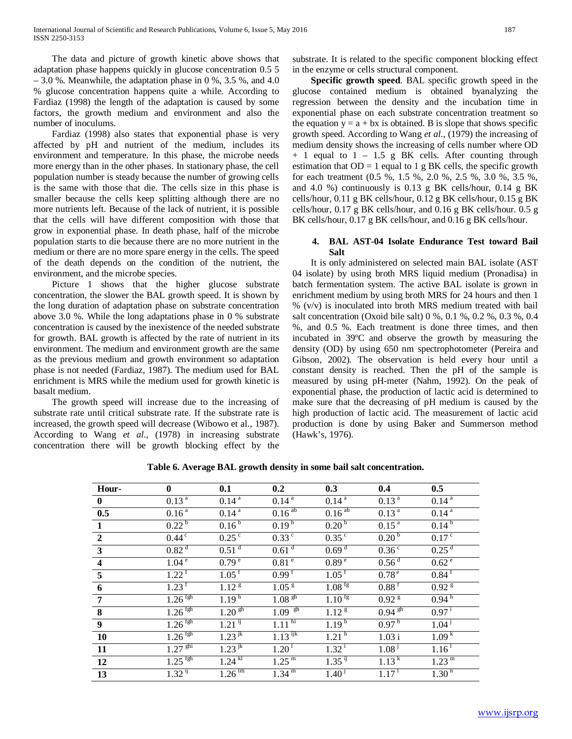The data and picture of growth kinetic above shows that adaptation phase happens quickly in glucose concentration 0.5 5  $-3.0$  %. Meanwhile, the adaptation phase in 0 %, 3.5 %, and 4.0 % glucose concentration happens quite a while. According to Fardiaz (1998) the length of the adaptation is caused by some factors, the growth medium and environment and also the number of inoculums.

 Fardiaz (1998) also states that exponential phase is very affected by pH and nutrient of the medium, includes its environment and temperature. In this phase, the microbe needs more energy than in the other phases. In stationary phase, the cell population number is steady because the number of growing cells is the same with those that die. The cells size in this phase is smaller because the cells keep splitting although there are no more nutrients left. Because of the lack of nutrient, it is possible that the cells will have different composition with those that grow in exponential phase. In death phase, half of the microbe population starts to die because there are no more nutrient in the medium or there are no more spare energy in the cells. The speed of the death depends on the condition of the nutrient, the environment, and the microbe species.

 Picture 1 shows that the higher glucose substrate concentration, the slower the BAL growth speed. It is shown by the long duration of adaptation phase on substrate concentration above 3.0 %. While the long adaptations phase in 0 % substrate concentration is caused by the inexistence of the needed substrate for growth. BAL growth is affected by the rate of nutrient in its environment. The medium and environment growth are the same as the previous medium and growth environment so adaptation phase is not needed (Fardiaz, 1987). The medium used for BAL enrichment is MRS while the medium used for growth kinetic is basalt medium.

 The growth speed will increase due to the increasing of substrate rate until critical substrate rate. If the substrate rate is increased, the growth speed will decrease (Wibowo et al., 1987). According to Wang *et al*., (1978) in increasing substrate concentration there will be growth blocking effect by the

substrate. It is related to the specific component blocking effect in the enzyme or cells structural component.

 **Specific growth speed**. BAL specific growth speed in the glucose contained medium is obtained byanalyzing the regression between the density and the incubation time in exponential phase on each substrate concentration treatment so the equation  $y = a + bx$  is obtained. B is slope that shows specific growth speed. According to Wang *et al*., (1979) the increasing of medium density shows the increasing of cells number where OD + 1 equal to 1 – 1.5 g BK cells. After counting through estimation that  $OD = 1$  equal to 1 g BK cells, the specific growth for each treatment (0.5 %, 1.5 %, 2.0 %, 2.5 %, 3.0 %, 3.5 %, and 4.0 %) continuously is 0.13 g BK cells/hour, 0.14 g BK cells/hour, 0.11 g BK cells/hour, 0.12 g BK cells/hour, 0.15 g BK cells/hour, 0.17 g BK cells/hour, and 0.16 g BK cells/hour. 0.5 g BK cells/hour, 0.17 g BK cells/hour, and 0.16 g BK cells/hour.

# **4. BAL AST-04 Isolate Endurance Test toward Bail Salt**

 It is only administered on selected main BAL isolate (AST 04 isolate) by using broth MRS liquid medium (Pronadisa) in batch fermentation system. The active BAL isolate is grown in enrichment medium by using broth MRS for 24 hours and then 1 % (v/v) is inoculated into broth MRS medium treated with bail salt concentration (Oxoid bile salt) 0 %, 0.1 %, 0.2 %, 0.3 %, 0.4 %, and 0.5 %. Each treatment is done three times, and then incubated in 39ºC and observe the growth by measuring the density (OD) by using 650 nm spectrophotometer (Pereira and Gibson, 2002). The observation is held every hour until a constant density is reached. Then the pH of the sample is measured by using pH-meter (Nahm, 1992). On the peak of exponential phase, the production of lactic acid is determined to make sure that the decreasing of pH medium is caused by the high production of lactic acid. The measurement of lactic acid production is done by using Baker and Summerson method (Hawk's, 1976).

| Hour-                   | $\mathbf{0}$          | 0.1                   | 0.2                   | 0.3                                         | 0.4                 | 0.5                   |
|-------------------------|-----------------------|-----------------------|-----------------------|---------------------------------------------|---------------------|-----------------------|
| $\bf{0}$                | $0.13^{a}$            | $0.14^{\overline{a}}$ | $0.14^{4}$            | $0.14^{a}$                                  | $0.13^{a}$          | $0.14^{a}$            |
| $\overline{0.5}$        | 0.16 <sup>a</sup>     | 0.14 <sup>a</sup>     | $0.16^{ab}$           | $0.16^{ab}$                                 | 0.13 <sup>a</sup>   | $0.14^{a}$            |
| $\mathbf{1}$            | $0.22^{b}$            | 0.16 <sup>b</sup>     | $0.19^{b}$            | 0.20 <sup>b</sup>                           | $0.15^{a}$          | $0.14^{b}$            |
| $\overline{2}$          | $0.44^\circ$          | $0.25$ <sup>c</sup>   | $0.33^{\circ}$        | 0.35 <sup>c</sup>                           | 0.20 <sup>b</sup>   | 0.17 <sup>c</sup>     |
| $\mathbf{3}$            | 0.82 <sup>d</sup>     | $0.51$ <sup>d</sup>   | $0.61$ <sup>d</sup>   | 0.69 <sup>d</sup>                           | 0.36 <sup>c</sup>   | 0.25 <sup>d</sup>     |
| $\overline{\mathbf{4}}$ | 1.04 <sup>e</sup>     | 0.79 <sup>e</sup>     | 0.81 <sup>e</sup>     | $0.89^{\circ}$                              | 0.56 <sup>d</sup>   | 0.62 <sup>e</sup>     |
| $\overline{5}$          | $1.22^{T}$            | $1.05^{\text{t}}$     | 0.99 <sup>f</sup>     | $1.05$ <sup>f</sup>                         | $0.78^{\circ}$      | $0.84$ <sup>T</sup>   |
| 6                       | $1.23$ <sup>f</sup>   | $1.12^{\overline{g}}$ | $1.05^{\frac{1}{g}}$  | $1.08 \text{ fs}$                           | $0.88$ <sup>f</sup> | $0.92^{8}$            |
| $\overline{7}$          | $1.26$ <sup>fgh</sup> | 1.19 <sup>h</sup>     | 1.08 <sup>gh</sup>    | $1.10^{1g}$                                 | $0.92^{8}$          | 0.94 <sup>h</sup>     |
| 8                       | $1.26$ <sup>fgh</sup> | $1.20^{9h}$           | $1.09$ $\frac{gh}{g}$ | $1.12^{g}$                                  | $0.94^{9h}$         | $0.97^{i}$            |
| $\overline{9}$          | $1.26$ <sup>fgh</sup> | $1.21$ <sup>ij</sup>  | 1.11 <sup>hi</sup>    | 1.19 <sup>h</sup>                           | 0.97 <sup>h</sup>   | $1.04^{j}$            |
| <b>10</b>               | $1.26$ <sup>fgh</sup> | $1.23$ <sup>jk</sup>  | $1.13$ <sup>ijk</sup> | 1.21 <sup>h</sup>                           | 1.03i               | 1.09 <sup>k</sup>     |
| 11                      | $1.27$ <sup>ghi</sup> | $1.23$ <sup>jk</sup>  | $1.20^{T}$            | $1.32^{i}$                                  | 1.08 <sup>1</sup>   | $1.16^{\mathrm{T}}$   |
| 12                      | $1.25$ <sup>fgh</sup> | $1.24^{\overline{k}}$ | $1.25^{m}$            | $1.35$ <sup><math>\overline{1}</math></sup> | $1.13^{k}$          | $1.23^{\overline{m}}$ |
| $\overline{13}$         | $1.32$ <sup>ij</sup>  | $1.26 \text{ Im}$     | $1.34^{m}$            | $1.40^{1}$                                  | 1.17 <sup>1</sup>   | $1.30^{n}$            |

**Table 6. Average BAL growth density in some bail salt concentration.**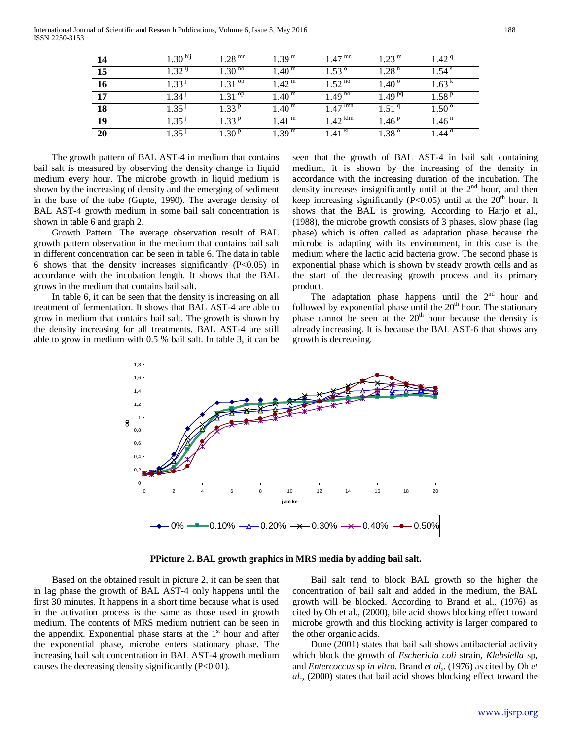International Journal of Scientific and Research Publications, Volume 6, Issue 5, May 2016 188 ISSN 2250-3153

|    | 1.30 <sup>hij</sup> | $1.28$ <sup>mn</sup> | 1.39 <sup>m</sup>   | $1.47$ mm          | 1.23 <sup>m</sup> | $1.42^{\text{q}}$ |
|----|---------------------|----------------------|---------------------|--------------------|-------------------|-------------------|
| 15 | 1.32 <sup>11</sup>  | $1.30^{10}$          | 1.40 <sup>m</sup>   | $1.53^{\circ}$     | 1.28 <sup>n</sup> | 1 54 $^{\rm s}$   |
| 16 | ا 33 ا              | $1.31^{op}$          | 1.42 <sup>m</sup>   | 1.52 $^{10}$       | $1.40^{\circ}$    | 1.63              |
| 17 | 1.34 <sup>3</sup>   | $1, 31$ op           | $1.40^{\mathrm{m}}$ | $1.49^{no}$        | $1.49^{pq}$       | 1.58P             |
| 18 | 1.35                | 1.33P                | 1.40 <sup>m</sup>   | Imn<br>1.47        | 1.51 <sup>q</sup> | $1.50^{\circ}$    |
| 19 | 1.35 <sup>1</sup>   | $1.33^{p}$           | 1.41 <sup>m</sup>   | $1.42$ km          | 1.46 <sup>p</sup> | 1.46 <sup>n</sup> |
| 20 | 1.35 <sup>1</sup>   | 1.30 <sup>p</sup>    | 1.39 <sup>m</sup>   | 1.41 <sup>kl</sup> | $1.38^{\circ}$    | .44 <sup>d</sup>  |

 The growth pattern of BAL AST-4 in medium that contains bail salt is measured by observing the density change in liquid medium every hour. The microbe growth in liquid medium is shown by the increasing of density and the emerging of sediment in the base of the tube (Gupte, 1990). The average density of BAL AST-4 growth medium in some bail salt concentration is shown in table 6 and graph 2.

 Growth Pattern. The average observation result of BAL growth pattern observation in the medium that contains bail salt in different concentration can be seen in table 6. The data in table 6 shows that the density increases significantly  $(P<0.05)$  in accordance with the incubation length. It shows that the BAL grows in the medium that contains bail salt.

 In table 6, it can be seen that the density is increasing on all treatment of fermentation. It shows that BAL AST-4 are able to grow in medium that contains bail salt. The growth is shown by the density increasing for all treatments. BAL AST-4 are still able to grow in medium with 0.5 % bail salt. In table 3, it can be

seen that the growth of BAL AST-4 in bail salt containing medium, it is shown by the increasing of the density in accordance with the increasing duration of the incubation. The density increases insignificantly until at the 2<sup>nd</sup> hour, and then keep increasing significantly (P<0.05) until at the  $20<sup>th</sup>$  hour. It shows that the BAL is growing. According to Harjo et al., (1988), the microbe growth consists of 3 phases, slow phase (lag phase) which is often called as adaptation phase because the microbe is adapting with its environment, in this case is the medium where the lactic acid bacteria grow. The second phase is exponential phase which is shown by steady growth cells and as the start of the decreasing growth process and its primary product.

The adaptation phase happens until the  $2<sup>nd</sup>$  hour and followed by exponential phase until the  $20<sup>th</sup>$  hour. The stationary phase cannot be seen at the  $20<sup>th</sup>$  hour because the density is already increasing. It is because the BAL AST-6 that shows any growth is decreasing.



**PPicture 2. BAL growth graphics in MRS media by adding bail salt.**

 Based on the obtained result in picture 2, it can be seen that in lag phase the growth of BAL AST-4 only happens until the first 30 minutes. It happens in a short time because what is used in the activation process is the same as those used in growth medium. The contents of MRS medium nutrient can be seen in the appendix. Exponential phase starts at the  $1<sup>st</sup>$  hour and after the exponential phase, microbe enters stationary phase. The increasing bail salt concentration in BAL AST-4 growth medium causes the decreasing density significantly (P<0.01).

 Bail salt tend to block BAL growth so the higher the concentration of bail salt and added in the medium, the BAL growth will be blocked. According to Brand et al., (1976) as cited by Oh et al., (2000), bile acid shows blocking effect toward microbe growth and this blocking activity is larger compared to the other organic acids.

 Dune (2001) states that bail salt shows antibacterial activity which block the growth of *Eschericia coli* strain, *Klebsiella* sp, and *Entercoccus* sp *in vitro*. Brand *et al*,. (1976) as cited by Oh *et al*., (2000) states that bail acid shows blocking effect toward the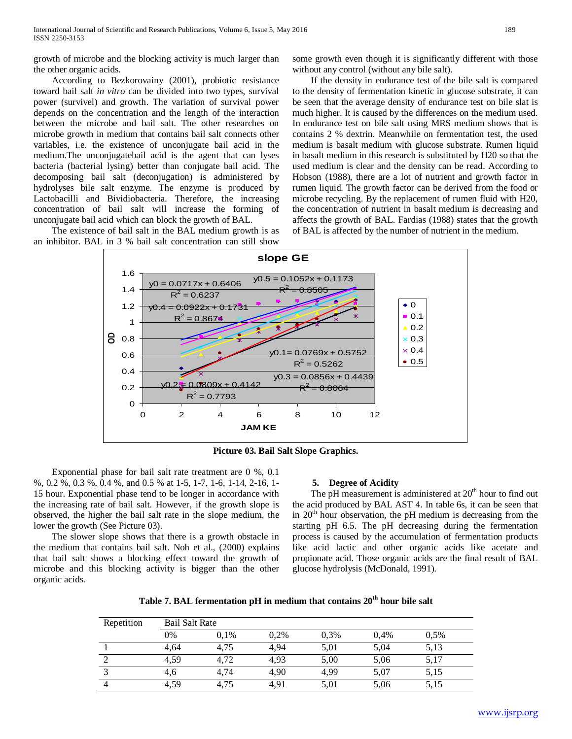growth of microbe and the blocking activity is much larger than the other organic acids.

 According to Bezkorovainy (2001), probiotic resistance toward bail salt *in vitro* can be divided into two types, survival power (survivel) and growth. The variation of survival power depends on the concentration and the length of the interaction between the microbe and bail salt. The other researches on microbe growth in medium that contains bail salt connects other variables, i.e. the existence of unconjugate bail acid in the medium.The unconjugatebail acid is the agent that can lyses bacteria (bacterial lysing) better than conjugate bail acid. The decomposing bail salt (deconjugation) is administered by hydrolyses bile salt enzyme. The enzyme is produced by Lactobacilli and Bividiobacteria. Therefore, the increasing concentration of bail salt will increase the forming of unconjugate bail acid which can block the growth of BAL.

 The existence of bail salt in the BAL medium growth is as an inhibitor. BAL in 3 % bail salt concentration can still show

some growth even though it is significantly different with those without any control (without any bile salt).

 If the density in endurance test of the bile salt is compared to the density of fermentation kinetic in glucose substrate, it can be seen that the average density of endurance test on bile slat is much higher. It is caused by the differences on the medium used. In endurance test on bile salt using MRS medium shows that is contains 2 % dextrin. Meanwhile on fermentation test, the used medium is basalt medium with glucose substrate. Rumen liquid in basalt medium in this research is substituted by H20 so that the used medium is clear and the density can be read. According to Hobson (1988), there are a lot of nutrient and growth factor in rumen liquid. The growth factor can be derived from the food or microbe recycling. By the replacement of rumen fluid with H20, the concentration of nutrient in basalt medium is decreasing and affects the growth of BAL. Fardias (1988) states that the growth of BAL is affected by the number of nutrient in the medium.



**Picture 03. Bail Salt Slope Graphics.**

 Exponential phase for bail salt rate treatment are 0 %, 0.1 %, 0.2 %, 0.3 %, 0.4 %, and 0.5 % at 1-5, 1-7, 1-6, 1-14, 2-16, 1- 15 hour. Exponential phase tend to be longer in accordance with the increasing rate of bail salt. However, if the growth slope is observed, the higher the bail salt rate in the slope medium, the lower the growth (See Picture 03).

 The slower slope shows that there is a growth obstacle in the medium that contains bail salt. Noh et al., (2000) explains that bail salt shows a blocking effect toward the growth of microbe and this blocking activity is bigger than the other organic acids.

# **5. Degree of Acidity**

The pH measurement is administered at  $20<sup>th</sup>$  hour to find out the acid produced by BAL AST 4. In table 6s, it can be seen that in  $20<sup>th</sup>$  hour observation, the pH medium is decreasing from the starting pH 6.5. The pH decreasing during the fermentation process is caused by the accumulation of fermentation products like acid lactic and other organic acids like acetate and propionate acid. Those organic acids are the final result of BAL glucose hydrolysis (McDonald, 1991).

| Table 7. BAL fermentation pH in medium that contains $20th$ hour bile salt |  |  |  |  |  |  |  |  |
|----------------------------------------------------------------------------|--|--|--|--|--|--|--|--|
|----------------------------------------------------------------------------|--|--|--|--|--|--|--|--|

| Repetition | <b>Bail Salt Rate</b> |      |      |      |      |      |  |  |  |  |
|------------|-----------------------|------|------|------|------|------|--|--|--|--|
|            | 0%                    | 0.1% | 0.2% | 0,3% | 0,4% | 0.5% |  |  |  |  |
|            | 4,64                  | 4,75 | 4.94 | 5,01 | 5,04 | 5,13 |  |  |  |  |
|            | 4,59                  | 4,72 | 4.93 | 5,00 | 5,06 | 5,17 |  |  |  |  |
|            | 4.6                   | 4,74 | 4.90 | 4.99 | 5,07 | 5,15 |  |  |  |  |
|            | 4,59                  | 4,75 | 4.91 | 5,01 | 5,06 | 5,15 |  |  |  |  |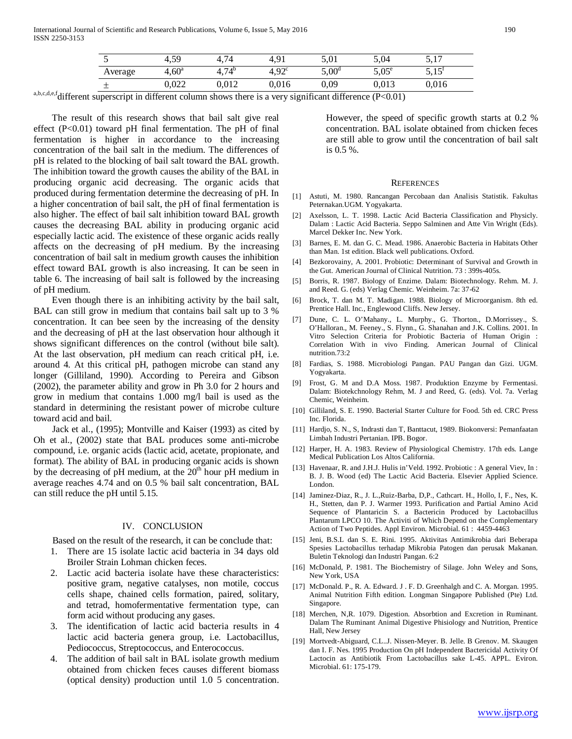| ັ       | 4,59           | 4.74       | 4.91              | 5,01           | 5,04     | 5.17<br>J <sub>1</sub> |
|---------|----------------|------------|-------------------|----------------|----------|------------------------|
| Average | $4,60^{\rm a}$ | $4,74^{b}$ | 4.92 <sup>c</sup> | $5,00^{\rm d}$ | $5,05^e$ | 5.15<br>ں ر            |
| --      | 0,022          | 0,012      | $0,\!016$         | 0,09           | 0.013    | 0,016                  |

a,b,c,d,e,f different superscript in different column shows there is a very significant difference (P<0.01)

 The result of this research shows that bail salt give real effect (P<0.01) toward pH final fermentation. The pH of final fermentation is higher in accordance to the increasing concentration of the bail salt in the medium. The differences of pH is related to the blocking of bail salt toward the BAL growth. The inhibition toward the growth causes the ability of the BAL in producing organic acid decreasing. The organic acids that produced during fermentation determine the decreasing of pH. In a higher concentration of bail salt, the pH of final fermentation is also higher. The effect of bail salt inhibition toward BAL growth causes the decreasing BAL ability in producing organic acid especially lactic acid. The existence of these organic acids really affects on the decreasing of pH medium. By the increasing concentration of bail salt in medium growth causes the inhibition effect toward BAL growth is also increasing. It can be seen in table 6. The increasing of bail salt is followed by the increasing of pH medium.

 Even though there is an inhibiting activity by the bail salt, BAL can still grow in medium that contains bail salt up to 3 % concentration. It can bee seen by the increasing of the density and the decreasing of pH at the last observation hour although it shows significant differences on the control (without bile salt). At the last observation, pH medium can reach critical pH, i.e. around 4. At this critical pH, pathogen microbe can stand any longer (Gilliland, 1990). According to Pereira and Gibson (2002), the parameter ability and grow in Ph 3.0 for 2 hours and grow in medium that contains 1.000 mg/l bail is used as the standard in determining the resistant power of microbe culture toward acid and bail.

 Jack et al., (1995); Montville and Kaiser (1993) as cited by Oh et al., (2002) state that BAL produces some anti-microbe compound, i.e. organic acids (lactic acid, acetate, propionate, and format). The ability of BAL in producing organic acids is shown by the decreasing of pH medium, at the  $20<sup>th</sup>$  hour pH medium in average reaches 4.74 and on 0.5 % bail salt concentration, BAL can still reduce the pH until 5.15.

#### IV. CONCLUSION

Based on the result of the research, it can be conclude that:

1. There are 15 isolate lactic acid bacteria in 34 days old Broiler Strain Lohman chicken feces.

- 2. Lactic acid bacteria isolate have these characteristics: positive gram, negative catalyses, non motile, coccus cells shape, chained cells formation, paired, solitary, and tetrad, homofermentative fermentation type, can form acid without producing any gases.
- 3. The identification of lactic acid bacteria results in 4 lactic acid bacteria genera group, i.e. Lactobacillus, Pediococcus, Streptococcus, and Enterococcus.
- The addition of bail salt in BAL isolate growth medium obtained from chicken feces causes different biomass (optical density) production until 1.0 5 concentration.

However, the speed of specific growth starts at 0.2 % concentration. BAL isolate obtained from chicken feces are still able to grow until the concentration of bail salt is 0.5 %.

#### **REFERENCES**

- [1] Astuti, M. 1980. Rancangan Percobaan dan Analisis Statistik. Fakultas Peternakan.UGM. Yogyakarta.
- [2] Axelsson, L. T. 1998. Lactic Acid Bacteria Classification and Physicly. Dalam : Lactic Acid Bacteria. Seppo Salminen and Atte Vin Wright (Eds). Marcel Dekker Inc. New York.
- [3] Barnes, E. M. dan G. C. Mead. 1986. Anaerobic Bacteria in Habitats Other than Man. 1st edition. Black well publications. Oxford.
- [4] Bezkorovainy, A. 2001. Probiotic: Determinant of Survival and Growth in the Gut. American Journal of Clinical Nutrition. 73 : 399s-405s.
- [5] Borris, R. 1987. Biology of Enzime. Dalam: Biotechnology. Rehm. M. J. and Reed. G. (eds) Verlag Chemic. Weinheim. 7a: 37-62
- [6] Brock, T. dan M. T. Madigan. 1988. Biology of Microorganism. 8th ed. Prentice Hall. Inc., Englewood Cliffs. New Jersey.
- [7] Dune, C. L. O'Mahany., L. Murphy., G. Thorton., D.Morrissey., S. O'Halloran., M. Feeney., S. Flynn., G. Shanahan and J.K. Collins. 2001. In Vitro Selection Criteria for Probiotic Bacteria of Human Origin : Correlation With in vivo Finding. American Journal of Clinical nutrition.73:2
- [8] Fardias, S. 1988. Microbiologi Pangan. PAU Pangan dan Gizi. UGM. Yogyakarta.
- [9] Frost, G. M and D.A Moss. 1987. Produktion Enzyme by Fermentasi. Dalam: Biotekchnology Rehm, M. J and Reed, G. (eds). Vol. 7a. Verlag Chemic, Weinheim.
- [10] Gilliland, S. E. 1990. Bacterial Starter Culture for Food. 5th ed. CRC Press Inc. Florida.
- [11] Hardjo, S. N., S, Indrasti dan T, Banttacut, 1989. Biokonversi: Pemanfaatan Limbah Industri Pertanian. IPB. Bogor.
- [12] Harper, H. A. 1983. Review of Physiological Chemistry. 17th eds. Lange Medical Publication Los Altos California.
- [13] Havenaar, R. and J.H.J. Hulis in'Veld. 1992. Probiotic : A general Viev, In : B. J. B. Wood (ed) The Lactic Acid Bacteria. Elsevier Applied Science. London.
- [14] Jaminez-Diaz, R., J. L.,Ruiz-Barba, D,P., Cathcart. H., Hollo, I, F., Nes, K. H., Stetten, dan P. J. Warmer 1993. Purification and Partial Amino Acid Sequence of Plantaricin S. a Bactericin Produced by Lactobacillus Plantarum LPCO 10. The Activiti of Which Depend on the Complementary Action of Two Peptides. Appl Environ. Microbial. 61 : 4459-4463
- [15] Jeni, B.S.L dan S. E. Rini. 1995. Aktivitas Antimikrobia dari Beberapa Spesies Lactobacillus terhadap Mikrobia Patogen dan perusak Makanan. Buletin Teknologi dan Industri Pangan. 6:2
- [16] McDonald, P. 1981. The Biochemistry of Silage. John Weley and Sons, New York, USA
- [17] McDonald. P., R. A. Edward. J. F. D. Greenhalgh and C. A. Morgan. 1995. Animal Nutrition Fifth edition. Longman Singapore Published (Pte) Ltd. Singapore.
- [18] Merchen, N,R. 1079. Digestion. Absorbtion and Excretion in Ruminant. Dalam The Ruminant Animal Digestive Phisiology and Nutrition, Prentice Hall, New Jersey
- [19] Mortvedt-Abiguard, C.L..J. Nissen-Meyer. B. Jelle. B Grenov. M. Skaugen dan I. F. Nes. 1995 Production On pH Independent Bactericidal Activity Of Lactocin as Antibiotik From Lactobacillus sake L-45. APPL. Eviron. Microbial. 61: 175-179.